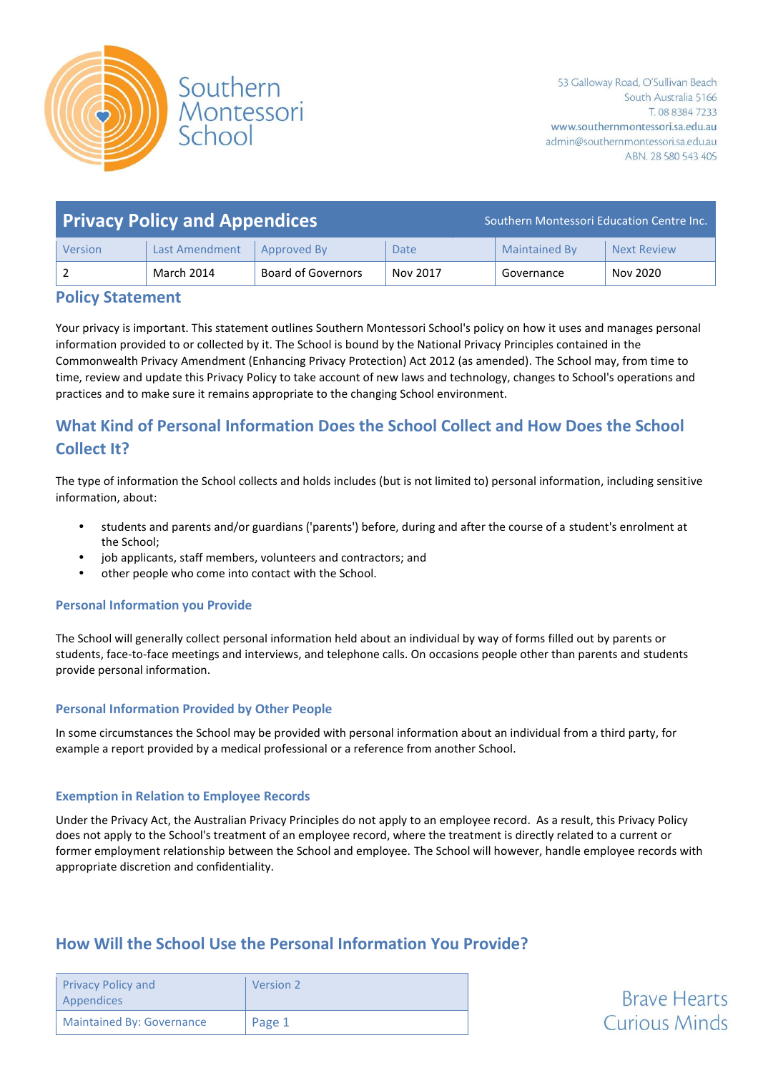

| <b>Privacy Policy and Appendices</b> |                       |                           | Southern Montessori Education Centre Inc. |                      |                    |
|--------------------------------------|-----------------------|---------------------------|-------------------------------------------|----------------------|--------------------|
| Version                              | <b>Last Amendment</b> | Approved By               | Date                                      | <b>Maintained By</b> | <b>Next Review</b> |
|                                      | March 2014            | <b>Board of Governors</b> | Nov 2017                                  | Governance           | Nov 2020           |

## **Policy Statement**

Your privacy is important. This statement outlines Southern Montessori School's policy on how it uses and manages personal information provided to or collected by it. The School is bound by the National Privacy Principles contained in the Commonwealth Privacy Amendment (Enhancing Privacy Protection) Act 2012 (as amended). The School may, from time to time, review and update this Privacy Policy to take account of new laws and technology, changes to School's operations and practices and to make sure it remains appropriate to the changing School environment.

# **What Kind of Personal Information Does the School Collect and How Does the School Collect It?**

The type of information the School collects and holds includes (but is not limited to) personal information, including sensitive information, about:

- students and parents and/or guardians ('parents') before, during and after the course of a student's enrolment at the School;
- job applicants, staff members, volunteers and contractors; and
- other people who come into contact with the School.

## **Personal Information you Provide**

The School will generally collect personal information held about an individual by way of forms filled out by parents or students, face-to-face meetings and interviews, and telephone calls. On occasions people other than parents and students provide personal information.

## **Personal Information Provided by Other People**

In some circumstances the School may be provided with personal information about an individual from a third party, for example a report provided by a medical professional or a reference from another School.

### **Exemption in Relation to Employee Records**

Under the Privacy Act, the Australian Privacy Principles do not apply to an employee record. As a result, this Privacy Policy does not apply to the School's treatment of an employee record, where the treatment is directly related to a current or former employment relationship between the School and employee. The School will however, handle employee records with appropriate discretion and confidentiality.

## **How Will the School Use the Personal Information You Provide?**

| <b>Privacy Policy and</b><br>Appendices | Version 2 |
|-----------------------------------------|-----------|
| <b>Maintained By: Governance</b>        | Page 1    |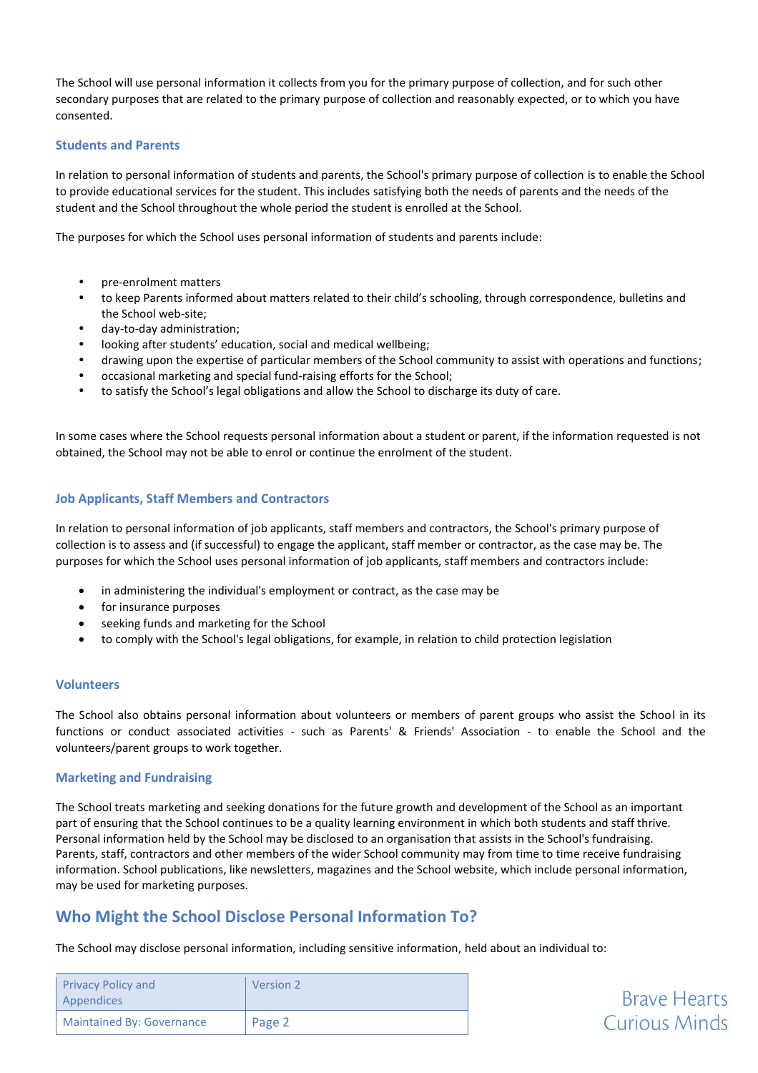The School will use personal information it collects from you for the primary purpose of collection, and for such other secondary purposes that are related to the primary purpose of collection and reasonably expected, or to which you have consented.

### **Students and Parents**

In relation to personal information of students and parents, the School's primary purpose of collection is to enable the School to provide educational services for the student. This includes satisfying both the needs of parents and the needs of the student and the School throughout the whole period the student is enrolled at the School.

The purposes for which the School uses personal information of students and parents include:

- pre-enrolment matters
- to keep Parents informed about matters related to their child's schooling, through correspondence, bulletins and the School web-site;
- day-to-day administration;
- looking after students' education, social and medical wellbeing;
- drawing upon the expertise of particular members of the School community to assist with operations and functions;
- occasional marketing and special fund-raising efforts for the School;
- to satisfy the School's legal obligations and allow the School to discharge its duty of care.

In some cases where the School requests personal information about a student or parent, if the information requested is not obtained, the School may not be able to enrol or continue the enrolment of the student.

### **Job Applicants, Staff Members and Contractors**

In relation to personal information of job applicants, staff members and contractors, the School's primary purpose of collection is to assess and (if successful) to engage the applicant, staff member or contractor, as the case may be. The purposes for which the School uses personal information of job applicants, staff members and contractors include:

- in administering the individual's employment or contract, as the case may be
- for insurance purposes
- seeking funds and marketing for the School
- to comply with the School's legal obligations, for example, in relation to child protection legislation

### **Volunteers**

The School also obtains personal information about volunteers or members of parent groups who assist the School in its functions or conduct associated activities - such as Parents' & Friends' Association - to enable the School and the volunteers/parent groups to work together.

### **Marketing and Fundraising**

The School treats marketing and seeking donations for the future growth and development of the School as an important part of ensuring that the School continues to be a quality learning environment in which both students and staff thrive. Personal information held by the School may be disclosed to an organisation that assists in the School's fundraising. Parents, staff, contractors and other members of the wider School community may from time to time receive fundraising information. School publications, like newsletters, magazines and the School website, which include personal information, may be used for marketing purposes.

## **Who Might the School Disclose Personal Information To?**

The School may disclose personal information, including sensitive information, held about an individual to:

| <b>Privacy Policy and</b><br>Appendices | Version 2 |
|-----------------------------------------|-----------|
| <b>Maintained By: Governance</b>        | Page 2    |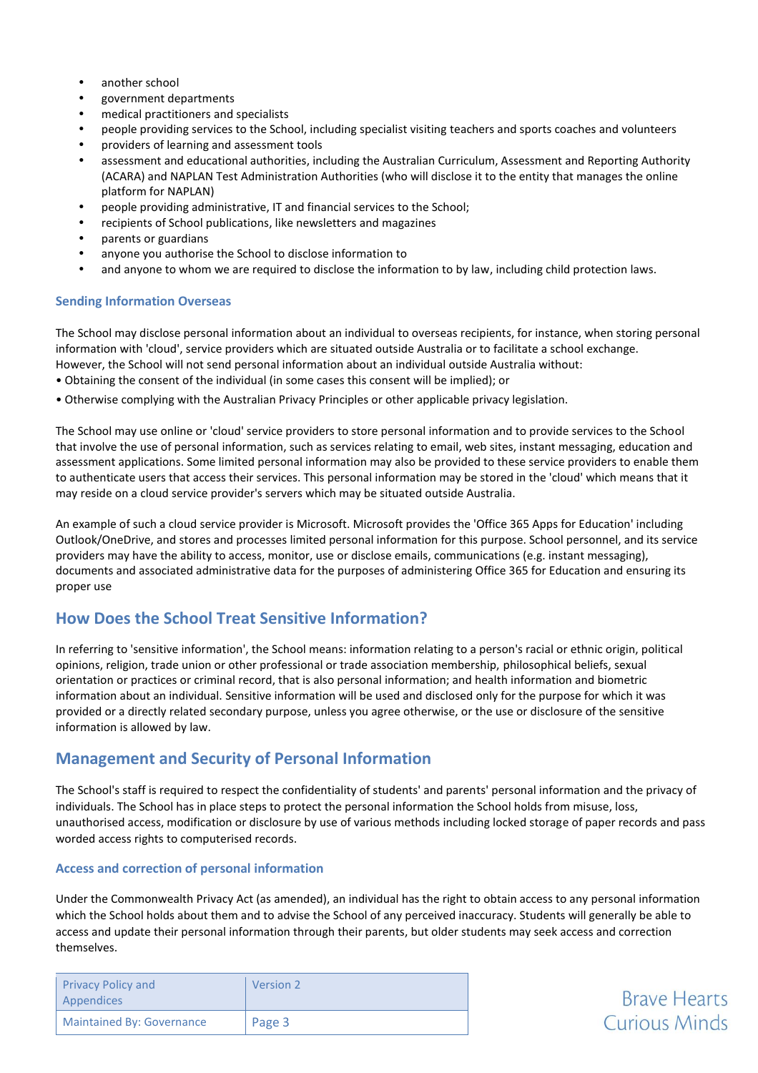- another school
- government departments
- medical practitioners and specialists
- people providing services to the School, including specialist visiting teachers and sports coaches and volunteers
- providers of learning and assessment tools
- assessment and educational authorities, including the Australian Curriculum, Assessment and Reporting Authority (ACARA) and NAPLAN Test Administration Authorities (who will disclose it to the entity that manages the online platform for NAPLAN)
- people providing administrative, IT and financial services to the School;
- recipients of School publications, like newsletters and magazines
- parents or guardians
- anyone you authorise the School to disclose information to
- and anyone to whom we are required to disclose the information to by law, including child protection laws.

### **Sending Information Overseas**

The School may disclose personal information about an individual to overseas recipients, for instance, when storing personal information with 'cloud', service providers which are situated outside Australia or to facilitate a school exchange.

However, the School will not send personal information about an individual outside Australia without:

- Obtaining the consent of the individual (in some cases this consent will be implied); or
- Otherwise complying with the Australian Privacy Principles or other applicable privacy legislation.

The School may use online or 'cloud' service providers to store personal information and to provide services to the School that involve the use of personal information, such as services relating to email, web sites, instant messaging, education and assessment applications. Some limited personal information may also be provided to these service providers to enable them to authenticate users that access their services. This personal information may be stored in the 'cloud' which means that it may reside on a cloud service provider's servers which may be situated outside Australia.

An example of such a cloud service provider is Microsoft. Microsoft provides the 'Office 365 Apps for Education' including Outlook/OneDrive, and stores and processes limited personal information for this purpose. School personnel, and its service providers may have the ability to access, monitor, use or disclose emails, communications (e.g. instant messaging), documents and associated administrative data for the purposes of administering Office 365 for Education and ensuring its proper use

## **How Does the School Treat Sensitive Information?**

In referring to 'sensitive information', the School means: information relating to a person's racial or ethnic origin, political opinions, religion, trade union or other professional or trade association membership, philosophical beliefs, sexual orientation or practices or criminal record, that is also personal information; and health information and biometric information about an individual. Sensitive information will be used and disclosed only for the purpose for which it was provided or a directly related secondary purpose, unless you agree otherwise, or the use or disclosure of the sensitive information is allowed by law.

## **Management and Security of Personal Information**

The School's staff is required to respect the confidentiality of students' and parents' personal information and the privacy of individuals. The School has in place steps to protect the personal information the School holds from misuse, loss, unauthorised access, modification or disclosure by use of various methods including locked storage of paper records and pass worded access rights to computerised records.

### **Access and correction of personal information**

Under the Commonwealth Privacy Act (as amended), an individual has the right to obtain access to any personal information which the School holds about them and to advise the School of any perceived inaccuracy. Students will generally be able to access and update their personal information through their parents, but older students may seek access and correction themselves.

| <b>Privacy Policy and</b><br>Appendices | <b>Version 2</b> |
|-----------------------------------------|------------------|
| <b>Maintained By: Governance</b>        | Page 3           |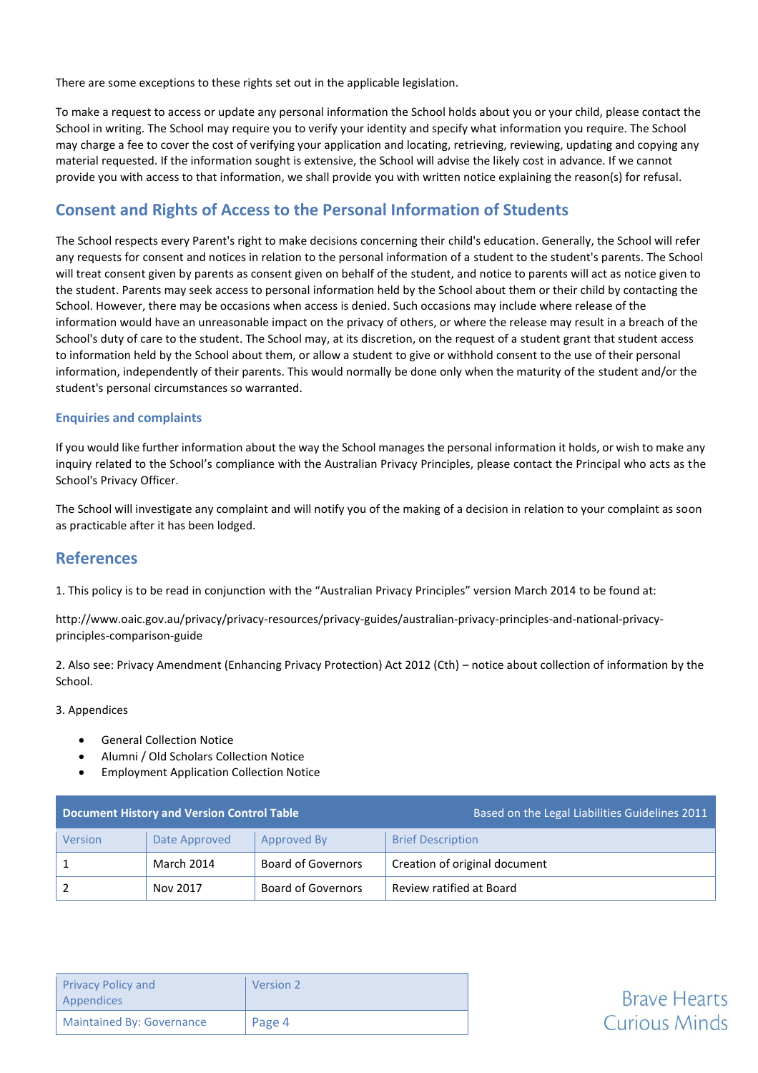There are some exceptions to these rights set out in the applicable legislation.

To make a request to access or update any personal information the School holds about you or your child, please contact the School in writing. The School may require you to verify your identity and specify what information you require. The School may charge a fee to cover the cost of verifying your application and locating, retrieving, reviewing, updating and copying any material requested. If the information sought is extensive, the School will advise the likely cost in advance. If we cannot provide you with access to that information, we shall provide you with written notice explaining the reason(s) for refusal.

## **Consent and Rights of Access to the Personal Information of Students**

The School respects every Parent's right to make decisions concerning their child's education. Generally, the School will refer any requests for consent and notices in relation to the personal information of a student to the student's parents. The School will treat consent given by parents as consent given on behalf of the student, and notice to parents will act as notice given to the student. Parents may seek access to personal information held by the School about them or their child by contacting the School. However, there may be occasions when access is denied. Such occasions may include where release of the information would have an unreasonable impact on the privacy of others, or where the release may result in a breach of the School's duty of care to the student. The School may, at its discretion, on the request of a student grant that student access to information held by the School about them, or allow a student to give or withhold consent to the use of their personal information, independently of their parents. This would normally be done only when the maturity of the student and/or the student's personal circumstances so warranted.

### **Enquiries and complaints**

If you would like further information about the way the School manages the personal information it holds, or wish to make any inquiry related to the School's compliance with the Australian Privacy Principles, please contact the Principal who acts as the School's Privacy Officer.

The School will investigate any complaint and will notify you of the making of a decision in relation to your complaint as soon as practicable after it has been lodged.

## **References**

1. This policy is to be read in conjunction with the "Australian Privacy Principles" version March 2014 to be found at:

[http://www.oaic.gov.au/privacy/privacy-resources/privacy-guides/australian-privacy-principles-and-national-privacy](http://www.oaic.gov.au/privacy/privacy-resources/privacy-guides/australian-privacy-principles-and-national-privacy-principles-comparison-guide)[principles-comparison-guide](http://www.oaic.gov.au/privacy/privacy-resources/privacy-guides/australian-privacy-principles-and-national-privacy-principles-comparison-guide)

2. Also see: Privacy Amendment (Enhancing Privacy Protection) Act 2012 (Cth) – notice about collection of information by the School.

### 3. Appendices

- General Collection Notice
- Alumni / Old Scholars Collection Notice
- Employment Application Collection Notice

| <b>Document History and Version Control Table</b> |               |                           | Based on the Legal Liabilities Guidelines 2011 |
|---------------------------------------------------|---------------|---------------------------|------------------------------------------------|
| Version                                           | Date Approved | Approved By               | <b>Brief Description</b>                       |
|                                                   | March 2014    | <b>Board of Governors</b> | Creation of original document                  |
|                                                   | Nov 2017      | Board of Governors        | Review ratified at Board                       |

| <b>Privacy Policy and</b><br>Appendices | <b>Version 2</b> |
|-----------------------------------------|------------------|
| <b>Maintained By: Governance</b>        | Page 4           |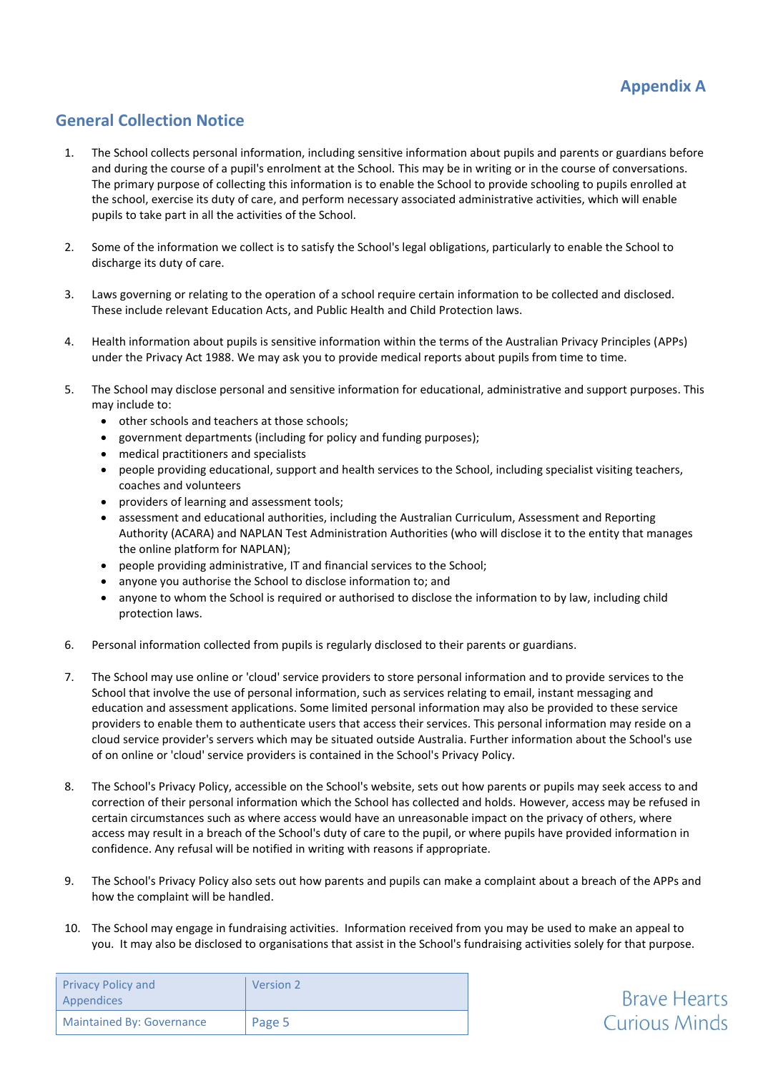**Brave Hearts Curious Minds** 

## **General Collection Notice**

- 1. The School collects personal information, including sensitive information about pupils and parents or guardians before and during the course of a pupil's enrolment at the School. This may be in writing or in the course of conversations. The primary purpose of collecting this information is to enable the School to provide schooling to pupils enrolled at the school, exercise its duty of care, and perform necessary associated administrative activities, which will enable pupils to take part in all the activities of the School.
- 2. Some of the information we collect is to satisfy the School's legal obligations, particularly to enable the School to discharge its duty of care.
- 3. Laws governing or relating to the operation of a school require certain information to be collected and disclosed. These include relevant Education Acts, and Public Health and Child Protection laws.
- 4. Health information about pupils is sensitive information within the terms of the Australian Privacy Principles (APPs) under the Privacy Act 1988. We may ask you to provide medical reports about pupils from time to time.
- 5. The School may disclose personal and sensitive information for educational, administrative and support purposes. This may include to:
	- other schools and teachers at those schools;
	- government departments (including for policy and funding purposes);
	- medical practitioners and specialists
	- people providing educational, support and health services to the School, including specialist visiting teachers, coaches and volunteers
	- providers of learning and assessment tools;
	- assessment and educational authorities, including the Australian Curriculum, Assessment and Reporting Authority (ACARA) and NAPLAN Test Administration Authorities (who will disclose it to the entity that manages the online platform for NAPLAN);
	- people providing administrative, IT and financial services to the School;
	- anyone you authorise the School to disclose information to; and
	- anyone to whom the School is required or authorised to disclose the information to by law, including child protection laws.
- 6. Personal information collected from pupils is regularly disclosed to their parents or guardians.
- 7. The School may use online or 'cloud' service providers to store personal information and to provide services to the School that involve the use of personal information, such as services relating to email, instant messaging and education and assessment applications. Some limited personal information may also be provided to these service providers to enable them to authenticate users that access their services. This personal information may reside on a cloud service provider's servers which may be situated outside Australia. Further information about the School's use of on online or 'cloud' service providers is contained in the School's Privacy Policy.
- 8. The School's Privacy Policy, accessible on the School's website, sets out how parents or pupils may seek access to and correction of their personal information which the School has collected and holds. However, access may be refused in certain circumstances such as where access would have an unreasonable impact on the privacy of others, where access may result in a breach of the School's duty of care to the pupil, or where pupils have provided information in confidence. Any refusal will be notified in writing with reasons if appropriate.
- 9. The School's Privacy Policy also sets out how parents and pupils can make a complaint about a breach of the APPs and how the complaint will be handled.
- 10. The School may engage in fundraising activities. Information received from you may be used to make an appeal to you. It may also be disclosed to organisations that assist in the School's fundraising activities solely for that purpose.

| <b>Privacy Policy and</b><br>Appendices | Version 2 |
|-----------------------------------------|-----------|
| <b>Maintained By: Governance</b>        | Page 5    |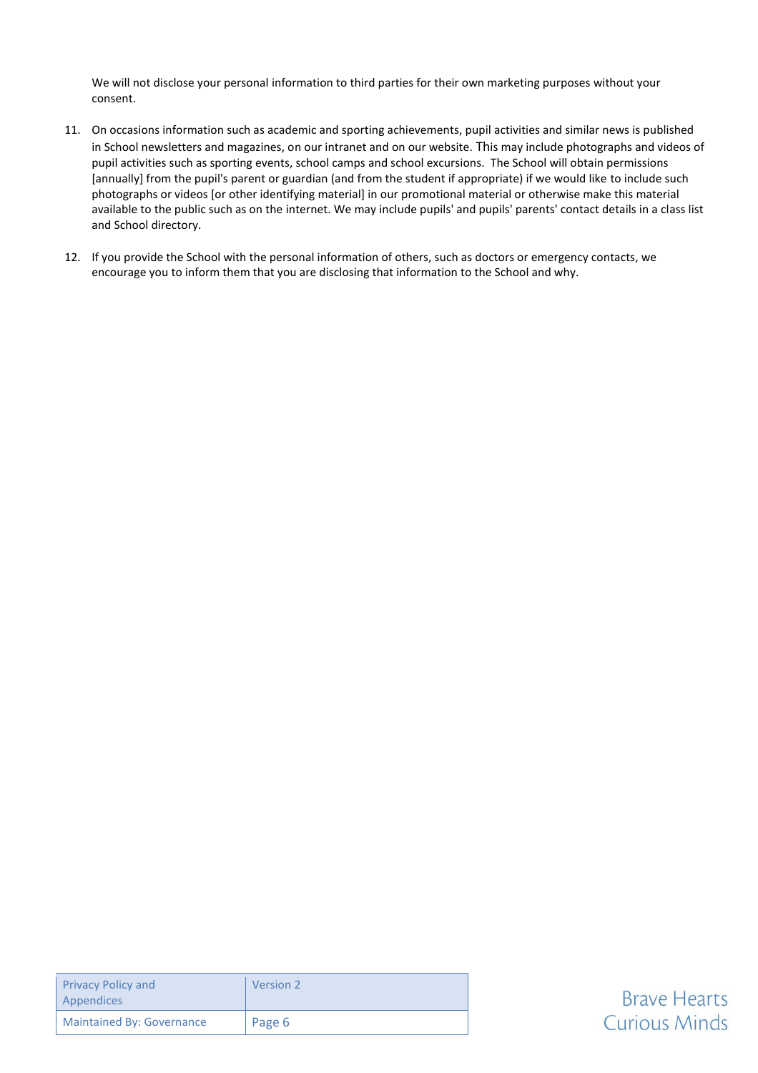We will not disclose your personal information to third parties for their own marketing purposes without your consent.

- 11. On occasions information such as academic and sporting achievements, pupil activities and similar news is published in School newsletters and magazines, on our intranet and on our website. This may include photographs and videos of pupil activities such as sporting events, school camps and school excursions. The School will obtain permissions [annually] from the pupil's parent or guardian (and from the student if appropriate) if we would like to include such photographs or videos [or other identifying material] in our promotional material or otherwise make this material available to the public such as on the internet. We may include pupils' and pupils' parents' contact details in a class list and School directory.
- 12. If you provide the School with the personal information of others, such as doctors or emergency contacts, we encourage you to inform them that you are disclosing that information to the School and why.

| <b>Privacy Policy and</b><br>Appendices | Version 2 |
|-----------------------------------------|-----------|
| <b>Maintained By: Governance</b>        | Page 6    |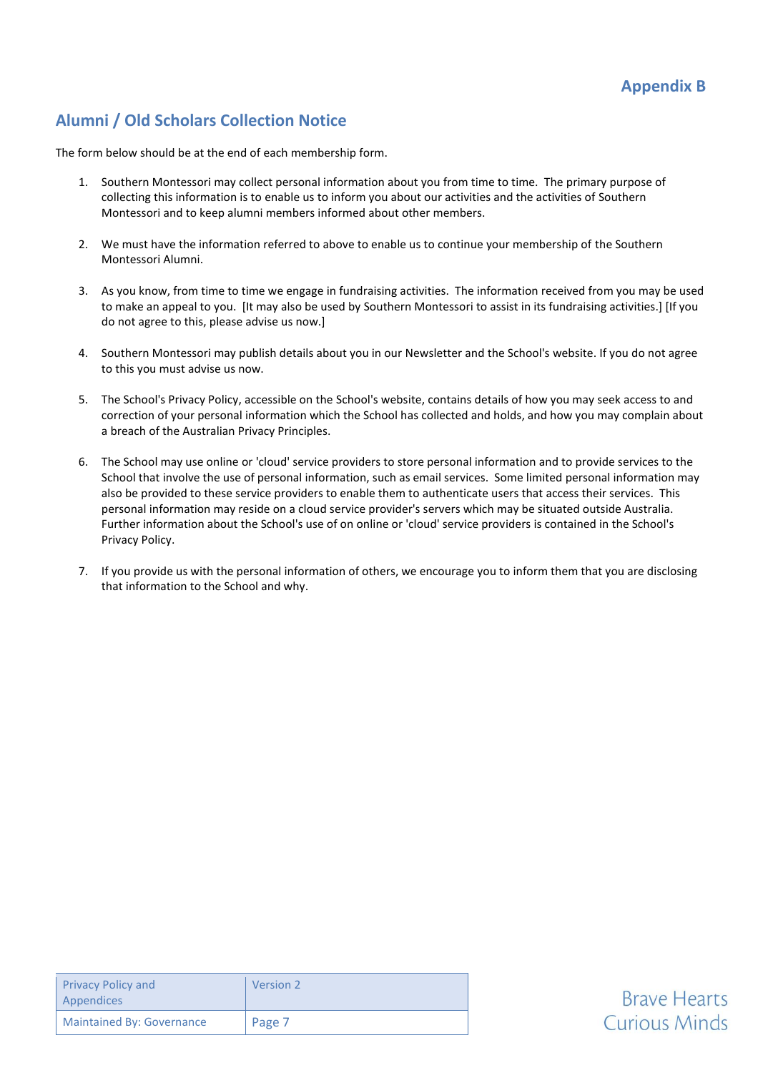# **Alumni / Old Scholars Collection Notice**

The form below should be at the end of each membership form.

- 1. Southern Montessori may collect personal information about you from time to time. The primary purpose of collecting this information is to enable us to inform you about our activities and the activities of Southern Montessori and to keep alumni members informed about other members.
- 2. We must have the information referred to above to enable us to continue your membership of the Southern Montessori Alumni.
- 3. As you know, from time to time we engage in fundraising activities. The information received from you may be used to make an appeal to you. [It may also be used by Southern Montessori to assist in its fundraising activities.] [If you do not agree to this, please advise us now.]
- 4. Southern Montessori may publish details about you in our Newsletter and the School's website. If you do not agree to this you must advise us now.
- 5. The School's Privacy Policy, accessible on the School's website, contains details of how you may seek access to and correction of your personal information which the School has collected and holds, and how you may complain about a breach of the Australian Privacy Principles.
- 6. The School may use online or 'cloud' service providers to store personal information and to provide services to the School that involve the use of personal information, such as email services. Some limited personal information may also be provided to these service providers to enable them to authenticate users that access their services. This personal information may reside on a cloud service provider's servers which may be situated outside Australia. Further information about the School's use of on online or 'cloud' service providers is contained in the School's Privacy Policy.
- 7. If you provide us with the personal information of others, we encourage you to inform them that you are disclosing that information to the School and why.

| <b>Privacy Policy and</b><br>Appendices | Version 2 |
|-----------------------------------------|-----------|
| <b>Maintained By: Governance</b>        | Page 7    |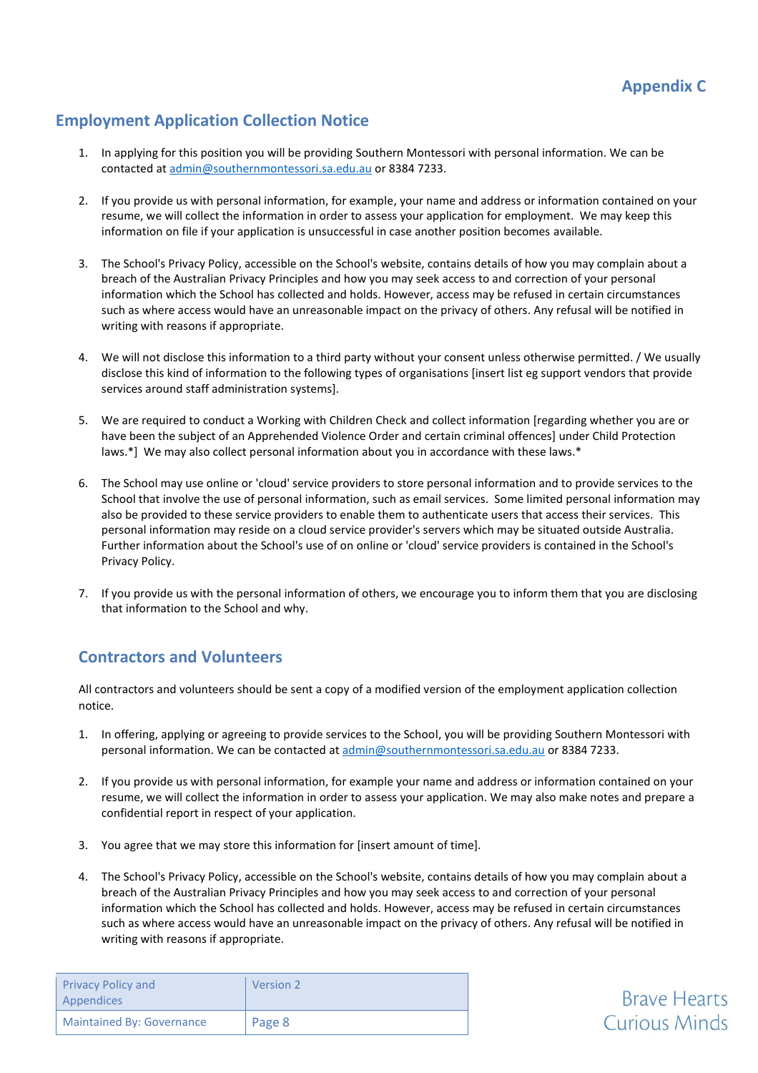**Brave Hearts** 

**Curious Minds** 

## **Employment Application Collection Notice**

- 1. In applying for this position you will be providing Southern Montessori with personal information. We can be contacted at [admin@southernmontessori.sa.edu.au](mailto:admin@southernmontessori.sa.edu.au) or 8384 7233.
- 2. If you provide us with personal information, for example, your name and address or information contained on your resume, we will collect the information in order to assess your application for employment. We may keep this information on file if your application is unsuccessful in case another position becomes available.
- 3. The School's Privacy Policy, accessible on the School's website, contains details of how you may complain about a breach of the Australian Privacy Principles and how you may seek access to and correction of your personal information which the School has collected and holds. However, access may be refused in certain circumstances such as where access would have an unreasonable impact on the privacy of others. Any refusal will be notified in writing with reasons if appropriate.
- 4. We will not disclose this information to a third party without your consent unless otherwise permitted. / We usually disclose this kind of information to the following types of organisations [insert list eg support vendors that provide services around staff administration systems].
- 5. We are required to conduct a Working with Children Check and collect information [regarding whether you are or have been the subject of an Apprehended Violence Order and certain criminal offences] under Child Protection laws.\*] We may also collect personal information about you in accordance with these laws.\*
- 6. The School may use online or 'cloud' service providers to store personal information and to provide services to the School that involve the use of personal information, such as email services. Some limited personal information may also be provided to these service providers to enable them to authenticate users that access their services. This personal information may reside on a cloud service provider's servers which may be situated outside Australia. Further information about the School's use of on online or 'cloud' service providers is contained in the School's Privacy Policy.
- 7. If you provide us with the personal information of others, we encourage you to inform them that you are disclosing that information to the School and why.

## **Contractors and Volunteers**

All contractors and volunteers should be sent a copy of a modified version of the employment application collection notice.

- 1. In offering, applying or agreeing to provide services to the School, you will be providing Southern Montessori with personal information. We can be contacted at [admin@southernmontessori.sa.edu.au](mailto:admin@southernmontessori.sa.edu.au) or 8384 7233.
- 2. If you provide us with personal information, for example your name and address or information contained on your resume, we will collect the information in order to assess your application. We may also make notes and prepare a confidential report in respect of your application.
- 3. You agree that we may store this information for [insert amount of time].
- 4. The School's Privacy Policy, accessible on the School's website, contains details of how you may complain about a breach of the Australian Privacy Principles and how you may seek access to and correction of your personal information which the School has collected and holds. However, access may be refused in certain circumstances such as where access would have an unreasonable impact on the privacy of others. Any refusal will be notified in writing with reasons if appropriate.

| <b>Privacy Policy and</b><br>Appendices | <b>Version 2</b> |
|-----------------------------------------|------------------|
| <b>Maintained By: Governance</b>        | Page 8           |